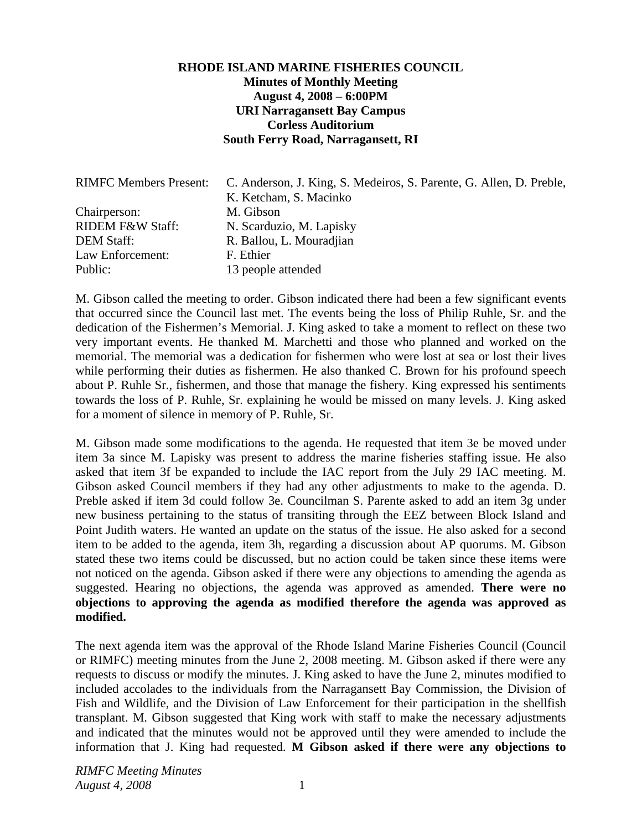## **RHODE ISLAND MARINE FISHERIES COUNCIL Minutes of Monthly Meeting August 4, 2008 – 6:00PM URI Narragansett Bay Campus Corless Auditorium South Ferry Road, Narragansett, RI**

| <b>RIMFC Members Present:</b> | C. Anderson, J. King, S. Medeiros, S. Parente, G. Allen, D. Preble,<br>K. Ketcham, S. Macinko |
|-------------------------------|-----------------------------------------------------------------------------------------------|
| Chairperson:                  | M. Gibson                                                                                     |
| <b>RIDEM F&amp;W Staff:</b>   | N. Scarduzio, M. Lapisky                                                                      |
| <b>DEM Staff:</b>             | R. Ballou, L. Mouradjian                                                                      |
| Law Enforcement:              | F. Ethier                                                                                     |
| Public:                       | 13 people attended                                                                            |

M. Gibson called the meeting to order. Gibson indicated there had been a few significant events that occurred since the Council last met. The events being the loss of Philip Ruhle, Sr. and the dedication of the Fishermen's Memorial. J. King asked to take a moment to reflect on these two very important events. He thanked M. Marchetti and those who planned and worked on the memorial. The memorial was a dedication for fishermen who were lost at sea or lost their lives while performing their duties as fishermen. He also thanked C. Brown for his profound speech about P. Ruhle Sr., fishermen, and those that manage the fishery. King expressed his sentiments towards the loss of P. Ruhle, Sr. explaining he would be missed on many levels. J. King asked for a moment of silence in memory of P. Ruhle, Sr.

M. Gibson made some modifications to the agenda. He requested that item 3e be moved under item 3a since M. Lapisky was present to address the marine fisheries staffing issue. He also asked that item 3f be expanded to include the IAC report from the July 29 IAC meeting. M. Gibson asked Council members if they had any other adjustments to make to the agenda. D. Preble asked if item 3d could follow 3e. Councilman S. Parente asked to add an item 3g under new business pertaining to the status of transiting through the EEZ between Block Island and Point Judith waters. He wanted an update on the status of the issue. He also asked for a second item to be added to the agenda, item 3h, regarding a discussion about AP quorums. M. Gibson stated these two items could be discussed, but no action could be taken since these items were not noticed on the agenda. Gibson asked if there were any objections to amending the agenda as suggested. Hearing no objections, the agenda was approved as amended. **There were no objections to approving the agenda as modified therefore the agenda was approved as modified.**

The next agenda item was the approval of the Rhode Island Marine Fisheries Council (Council or RIMFC) meeting minutes from the June 2, 2008 meeting. M. Gibson asked if there were any requests to discuss or modify the minutes. J. King asked to have the June 2, minutes modified to included accolades to the individuals from the Narragansett Bay Commission, the Division of Fish and Wildlife, and the Division of Law Enforcement for their participation in the shellfish transplant. M. Gibson suggested that King work with staff to make the necessary adjustments and indicated that the minutes would not be approved until they were amended to include the information that J. King had requested. **M Gibson asked if there were any objections to**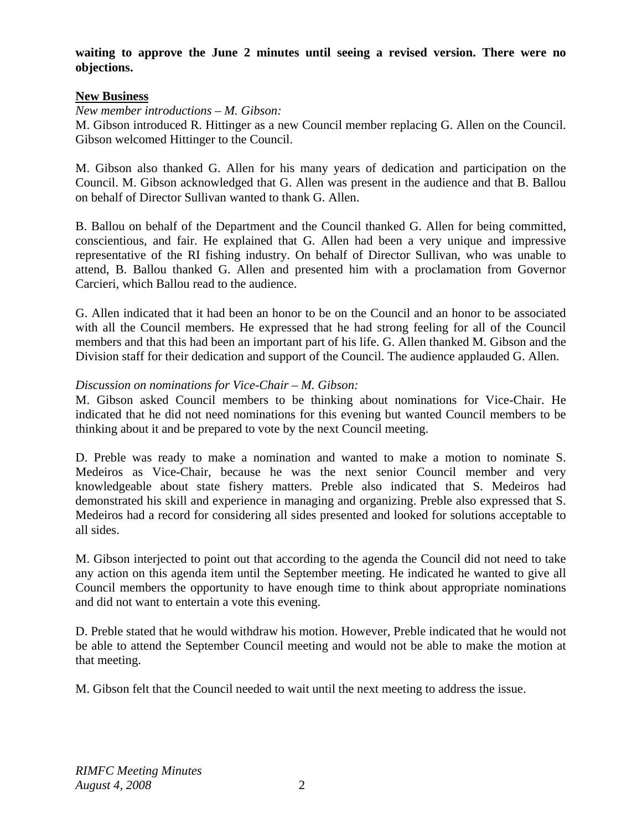# **waiting to approve the June 2 minutes until seeing a revised version. There were no objections.**

## **New Business**

*New member introductions – M. Gibson:* 

M. Gibson introduced R. Hittinger as a new Council member replacing G. Allen on the Council. Gibson welcomed Hittinger to the Council.

M. Gibson also thanked G. Allen for his many years of dedication and participation on the Council. M. Gibson acknowledged that G. Allen was present in the audience and that B. Ballou on behalf of Director Sullivan wanted to thank G. Allen.

B. Ballou on behalf of the Department and the Council thanked G. Allen for being committed, conscientious, and fair. He explained that G. Allen had been a very unique and impressive representative of the RI fishing industry. On behalf of Director Sullivan, who was unable to attend, B. Ballou thanked G. Allen and presented him with a proclamation from Governor Carcieri, which Ballou read to the audience.

G. Allen indicated that it had been an honor to be on the Council and an honor to be associated with all the Council members. He expressed that he had strong feeling for all of the Council members and that this had been an important part of his life. G. Allen thanked M. Gibson and the Division staff for their dedication and support of the Council. The audience applauded G. Allen.

## *Discussion on nominations for Vice-Chair – M. Gibson:*

M. Gibson asked Council members to be thinking about nominations for Vice-Chair. He indicated that he did not need nominations for this evening but wanted Council members to be thinking about it and be prepared to vote by the next Council meeting.

D. Preble was ready to make a nomination and wanted to make a motion to nominate S. Medeiros as Vice-Chair, because he was the next senior Council member and very knowledgeable about state fishery matters. Preble also indicated that S. Medeiros had demonstrated his skill and experience in managing and organizing. Preble also expressed that S. Medeiros had a record for considering all sides presented and looked for solutions acceptable to all sides.

M. Gibson interjected to point out that according to the agenda the Council did not need to take any action on this agenda item until the September meeting. He indicated he wanted to give all Council members the opportunity to have enough time to think about appropriate nominations and did not want to entertain a vote this evening.

D. Preble stated that he would withdraw his motion. However, Preble indicated that he would not be able to attend the September Council meeting and would not be able to make the motion at that meeting.

M. Gibson felt that the Council needed to wait until the next meeting to address the issue.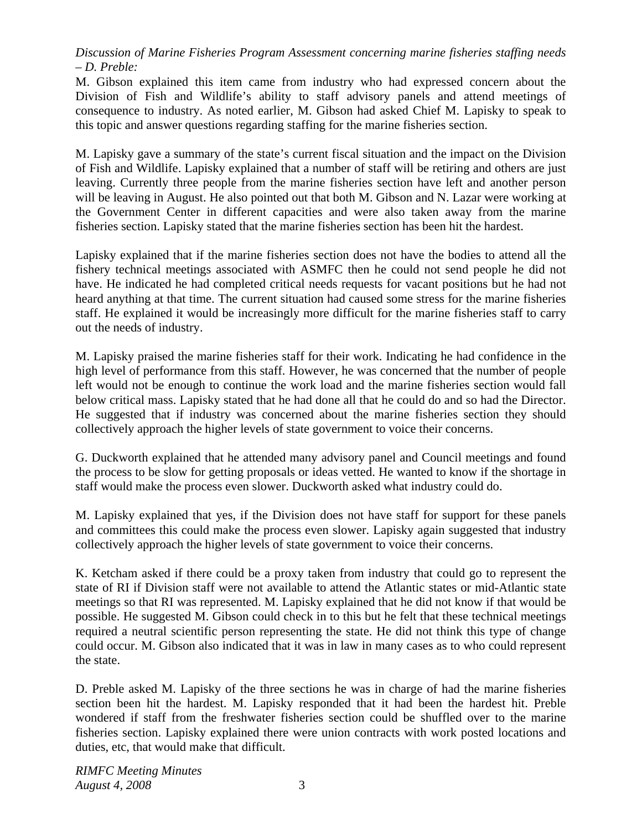*Discussion of Marine Fisheries Program Assessment concerning marine fisheries staffing needs – D. Preble:* 

M. Gibson explained this item came from industry who had expressed concern about the Division of Fish and Wildlife's ability to staff advisory panels and attend meetings of consequence to industry. As noted earlier, M. Gibson had asked Chief M. Lapisky to speak to this topic and answer questions regarding staffing for the marine fisheries section.

M. Lapisky gave a summary of the state's current fiscal situation and the impact on the Division of Fish and Wildlife. Lapisky explained that a number of staff will be retiring and others are just leaving. Currently three people from the marine fisheries section have left and another person will be leaving in August. He also pointed out that both M. Gibson and N. Lazar were working at the Government Center in different capacities and were also taken away from the marine fisheries section. Lapisky stated that the marine fisheries section has been hit the hardest.

Lapisky explained that if the marine fisheries section does not have the bodies to attend all the fishery technical meetings associated with ASMFC then he could not send people he did not have. He indicated he had completed critical needs requests for vacant positions but he had not heard anything at that time. The current situation had caused some stress for the marine fisheries staff. He explained it would be increasingly more difficult for the marine fisheries staff to carry out the needs of industry.

M. Lapisky praised the marine fisheries staff for their work. Indicating he had confidence in the high level of performance from this staff. However, he was concerned that the number of people left would not be enough to continue the work load and the marine fisheries section would fall below critical mass. Lapisky stated that he had done all that he could do and so had the Director. He suggested that if industry was concerned about the marine fisheries section they should collectively approach the higher levels of state government to voice their concerns.

G. Duckworth explained that he attended many advisory panel and Council meetings and found the process to be slow for getting proposals or ideas vetted. He wanted to know if the shortage in staff would make the process even slower. Duckworth asked what industry could do.

M. Lapisky explained that yes, if the Division does not have staff for support for these panels and committees this could make the process even slower. Lapisky again suggested that industry collectively approach the higher levels of state government to voice their concerns.

K. Ketcham asked if there could be a proxy taken from industry that could go to represent the state of RI if Division staff were not available to attend the Atlantic states or mid-Atlantic state meetings so that RI was represented. M. Lapisky explained that he did not know if that would be possible. He suggested M. Gibson could check in to this but he felt that these technical meetings required a neutral scientific person representing the state. He did not think this type of change could occur. M. Gibson also indicated that it was in law in many cases as to who could represent the state.

D. Preble asked M. Lapisky of the three sections he was in charge of had the marine fisheries section been hit the hardest. M. Lapisky responded that it had been the hardest hit. Preble wondered if staff from the freshwater fisheries section could be shuffled over to the marine fisheries section. Lapisky explained there were union contracts with work posted locations and duties, etc, that would make that difficult.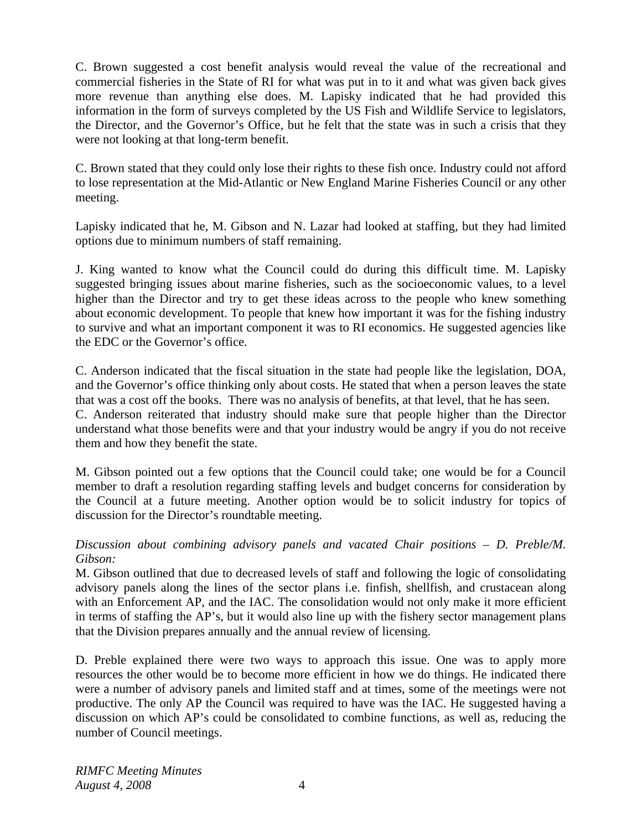C. Brown suggested a cost benefit analysis would reveal the value of the recreational and commercial fisheries in the State of RI for what was put in to it and what was given back gives more revenue than anything else does. M. Lapisky indicated that he had provided this information in the form of surveys completed by the US Fish and Wildlife Service to legislators, the Director, and the Governor's Office, but he felt that the state was in such a crisis that they were not looking at that long-term benefit.

C. Brown stated that they could only lose their rights to these fish once. Industry could not afford to lose representation at the Mid-Atlantic or New England Marine Fisheries Council or any other meeting.

Lapisky indicated that he, M. Gibson and N. Lazar had looked at staffing, but they had limited options due to minimum numbers of staff remaining.

J. King wanted to know what the Council could do during this difficult time. M. Lapisky suggested bringing issues about marine fisheries, such as the socioeconomic values, to a level higher than the Director and try to get these ideas across to the people who knew something about economic development. To people that knew how important it was for the fishing industry to survive and what an important component it was to RI economics. He suggested agencies like the EDC or the Governor's office.

C. Anderson indicated that the fiscal situation in the state had people like the legislation, DOA, and the Governor's office thinking only about costs. He stated that when a person leaves the state that was a cost off the books. There was no analysis of benefits, at that level, that he has seen. C. Anderson reiterated that industry should make sure that people higher than the Director understand what those benefits were and that your industry would be angry if you do not receive them and how they benefit the state.

M. Gibson pointed out a few options that the Council could take; one would be for a Council member to draft a resolution regarding staffing levels and budget concerns for consideration by the Council at a future meeting. Another option would be to solicit industry for topics of discussion for the Director's roundtable meeting.

# *Discussion about combining advisory panels and vacated Chair positions – D. Preble/M. Gibson:*

M. Gibson outlined that due to decreased levels of staff and following the logic of consolidating advisory panels along the lines of the sector plans i.e. finfish, shellfish, and crustacean along with an Enforcement AP, and the IAC. The consolidation would not only make it more efficient in terms of staffing the AP's, but it would also line up with the fishery sector management plans that the Division prepares annually and the annual review of licensing.

D. Preble explained there were two ways to approach this issue. One was to apply more resources the other would be to become more efficient in how we do things. He indicated there were a number of advisory panels and limited staff and at times, some of the meetings were not productive. The only AP the Council was required to have was the IAC. He suggested having a discussion on which AP's could be consolidated to combine functions, as well as, reducing the number of Council meetings.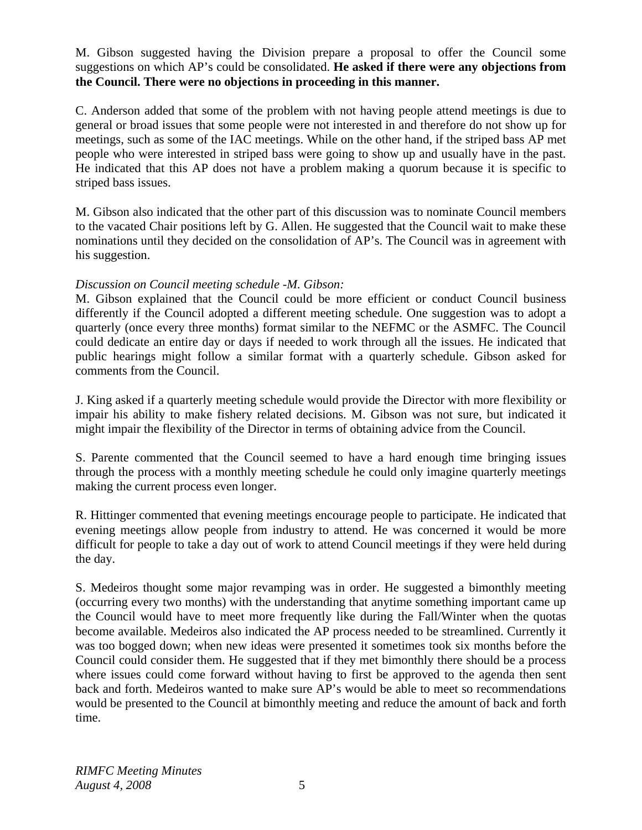## M. Gibson suggested having the Division prepare a proposal to offer the Council some suggestions on which AP's could be consolidated. **He asked if there were any objections from the Council. There were no objections in proceeding in this manner.**

C. Anderson added that some of the problem with not having people attend meetings is due to general or broad issues that some people were not interested in and therefore do not show up for meetings, such as some of the IAC meetings. While on the other hand, if the striped bass AP met people who were interested in striped bass were going to show up and usually have in the past. He indicated that this AP does not have a problem making a quorum because it is specific to striped bass issues.

M. Gibson also indicated that the other part of this discussion was to nominate Council members to the vacated Chair positions left by G. Allen. He suggested that the Council wait to make these nominations until they decided on the consolidation of AP's. The Council was in agreement with his suggestion.

## *Discussion on Council meeting schedule -M. Gibson:*

M. Gibson explained that the Council could be more efficient or conduct Council business differently if the Council adopted a different meeting schedule. One suggestion was to adopt a quarterly (once every three months) format similar to the NEFMC or the ASMFC. The Council could dedicate an entire day or days if needed to work through all the issues. He indicated that public hearings might follow a similar format with a quarterly schedule. Gibson asked for comments from the Council.

J. King asked if a quarterly meeting schedule would provide the Director with more flexibility or impair his ability to make fishery related decisions. M. Gibson was not sure, but indicated it might impair the flexibility of the Director in terms of obtaining advice from the Council.

S. Parente commented that the Council seemed to have a hard enough time bringing issues through the process with a monthly meeting schedule he could only imagine quarterly meetings making the current process even longer.

R. Hittinger commented that evening meetings encourage people to participate. He indicated that evening meetings allow people from industry to attend. He was concerned it would be more difficult for people to take a day out of work to attend Council meetings if they were held during the day.

S. Medeiros thought some major revamping was in order. He suggested a bimonthly meeting (occurring every two months) with the understanding that anytime something important came up the Council would have to meet more frequently like during the Fall/Winter when the quotas become available. Medeiros also indicated the AP process needed to be streamlined. Currently it was too bogged down; when new ideas were presented it sometimes took six months before the Council could consider them. He suggested that if they met bimonthly there should be a process where issues could come forward without having to first be approved to the agenda then sent back and forth. Medeiros wanted to make sure AP's would be able to meet so recommendations would be presented to the Council at bimonthly meeting and reduce the amount of back and forth time.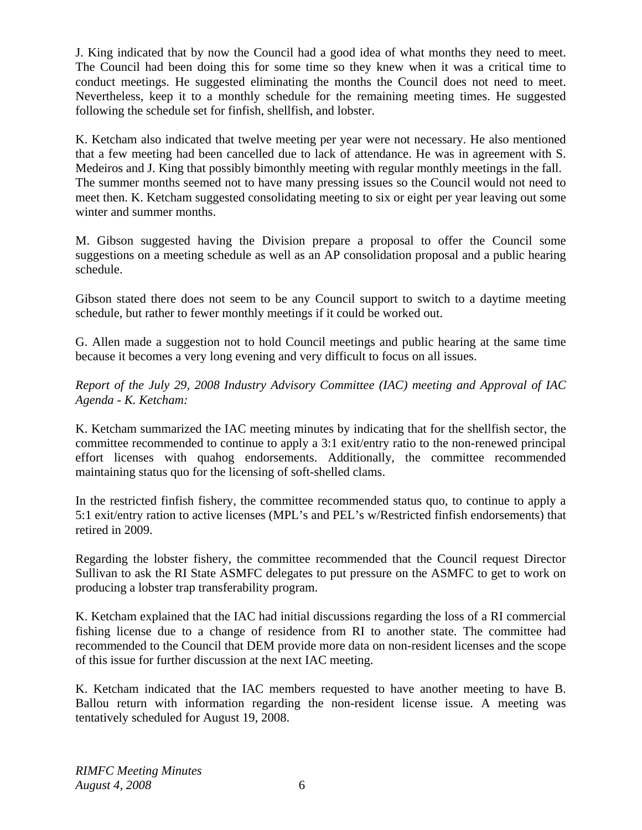J. King indicated that by now the Council had a good idea of what months they need to meet. The Council had been doing this for some time so they knew when it was a critical time to conduct meetings. He suggested eliminating the months the Council does not need to meet. Nevertheless, keep it to a monthly schedule for the remaining meeting times. He suggested following the schedule set for finfish, shellfish, and lobster.

K. Ketcham also indicated that twelve meeting per year were not necessary. He also mentioned that a few meeting had been cancelled due to lack of attendance. He was in agreement with S. Medeiros and J. King that possibly bimonthly meeting with regular monthly meetings in the fall. The summer months seemed not to have many pressing issues so the Council would not need to meet then. K. Ketcham suggested consolidating meeting to six or eight per year leaving out some winter and summer months.

M. Gibson suggested having the Division prepare a proposal to offer the Council some suggestions on a meeting schedule as well as an AP consolidation proposal and a public hearing schedule.

Gibson stated there does not seem to be any Council support to switch to a daytime meeting schedule, but rather to fewer monthly meetings if it could be worked out.

G. Allen made a suggestion not to hold Council meetings and public hearing at the same time because it becomes a very long evening and very difficult to focus on all issues.

*Report of the July 29, 2008 Industry Advisory Committee (IAC) meeting and Approval of IAC Agenda - K. Ketcham:* 

K. Ketcham summarized the IAC meeting minutes by indicating that for the shellfish sector, the committee recommended to continue to apply a 3:1 exit/entry ratio to the non-renewed principal effort licenses with quahog endorsements. Additionally, the committee recommended maintaining status quo for the licensing of soft-shelled clams.

In the restricted finfish fishery, the committee recommended status quo, to continue to apply a 5:1 exit/entry ration to active licenses (MPL's and PEL's w/Restricted finfish endorsements) that retired in 2009.

Regarding the lobster fishery, the committee recommended that the Council request Director Sullivan to ask the RI State ASMFC delegates to put pressure on the ASMFC to get to work on producing a lobster trap transferability program.

K. Ketcham explained that the IAC had initial discussions regarding the loss of a RI commercial fishing license due to a change of residence from RI to another state. The committee had recommended to the Council that DEM provide more data on non-resident licenses and the scope of this issue for further discussion at the next IAC meeting.

K. Ketcham indicated that the IAC members requested to have another meeting to have B. Ballou return with information regarding the non-resident license issue. A meeting was tentatively scheduled for August 19, 2008.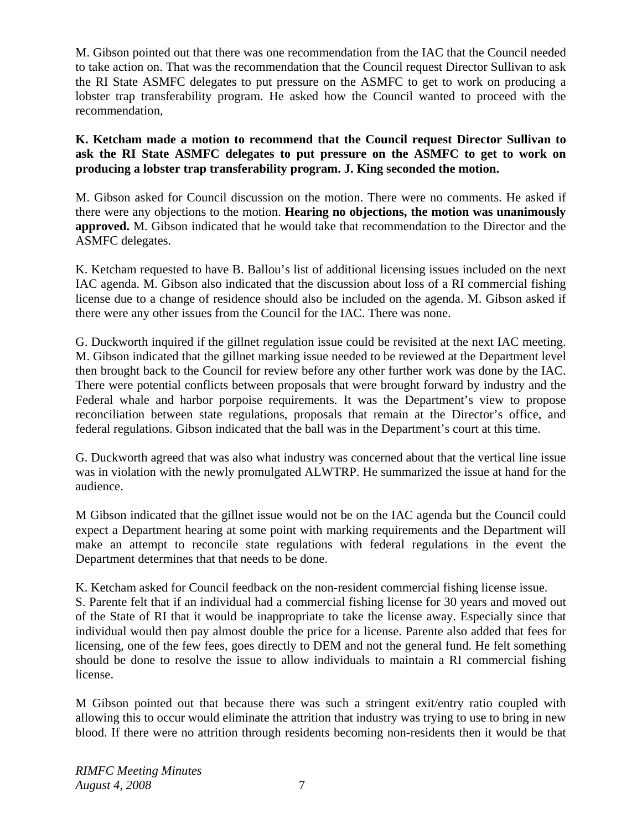M. Gibson pointed out that there was one recommendation from the IAC that the Council needed to take action on. That was the recommendation that the Council request Director Sullivan to ask the RI State ASMFC delegates to put pressure on the ASMFC to get to work on producing a lobster trap transferability program. He asked how the Council wanted to proceed with the recommendation,

**K. Ketcham made a motion to recommend that the Council request Director Sullivan to ask the RI State ASMFC delegates to put pressure on the ASMFC to get to work on producing a lobster trap transferability program. J. King seconded the motion.** 

M. Gibson asked for Council discussion on the motion. There were no comments. He asked if there were any objections to the motion. **Hearing no objections, the motion was unanimously approved.** M. Gibson indicated that he would take that recommendation to the Director and the ASMFC delegates.

K. Ketcham requested to have B. Ballou's list of additional licensing issues included on the next IAC agenda. M. Gibson also indicated that the discussion about loss of a RI commercial fishing license due to a change of residence should also be included on the agenda. M. Gibson asked if there were any other issues from the Council for the IAC. There was none.

G. Duckworth inquired if the gillnet regulation issue could be revisited at the next IAC meeting. M. Gibson indicated that the gillnet marking issue needed to be reviewed at the Department level then brought back to the Council for review before any other further work was done by the IAC. There were potential conflicts between proposals that were brought forward by industry and the Federal whale and harbor porpoise requirements. It was the Department's view to propose reconciliation between state regulations, proposals that remain at the Director's office, and federal regulations. Gibson indicated that the ball was in the Department's court at this time.

G. Duckworth agreed that was also what industry was concerned about that the vertical line issue was in violation with the newly promulgated ALWTRP. He summarized the issue at hand for the audience.

M Gibson indicated that the gillnet issue would not be on the IAC agenda but the Council could expect a Department hearing at some point with marking requirements and the Department will make an attempt to reconcile state regulations with federal regulations in the event the Department determines that that needs to be done.

K. Ketcham asked for Council feedback on the non-resident commercial fishing license issue.

S. Parente felt that if an individual had a commercial fishing license for 30 years and moved out of the State of RI that it would be inappropriate to take the license away. Especially since that individual would then pay almost double the price for a license. Parente also added that fees for licensing, one of the few fees, goes directly to DEM and not the general fund. He felt something should be done to resolve the issue to allow individuals to maintain a RI commercial fishing license.

M Gibson pointed out that because there was such a stringent exit/entry ratio coupled with allowing this to occur would eliminate the attrition that industry was trying to use to bring in new blood. If there were no attrition through residents becoming non-residents then it would be that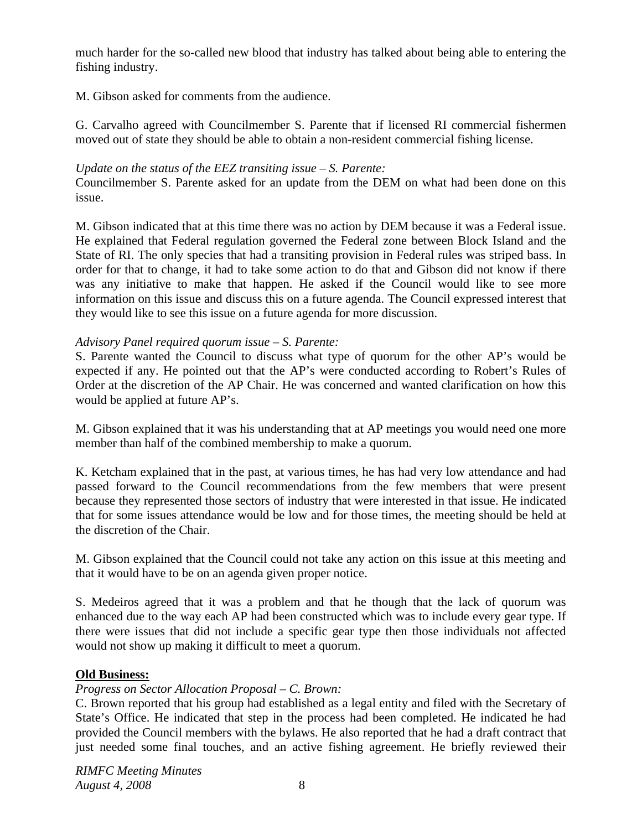much harder for the so-called new blood that industry has talked about being able to entering the fishing industry.

M. Gibson asked for comments from the audience.

G. Carvalho agreed with Councilmember S. Parente that if licensed RI commercial fishermen moved out of state they should be able to obtain a non-resident commercial fishing license.

#### *Update on the status of the EEZ transiting issue – S. Parente:*

Councilmember S. Parente asked for an update from the DEM on what had been done on this issue.

M. Gibson indicated that at this time there was no action by DEM because it was a Federal issue. He explained that Federal regulation governed the Federal zone between Block Island and the State of RI. The only species that had a transiting provision in Federal rules was striped bass. In order for that to change, it had to take some action to do that and Gibson did not know if there was any initiative to make that happen. He asked if the Council would like to see more information on this issue and discuss this on a future agenda. The Council expressed interest that they would like to see this issue on a future agenda for more discussion.

## *Advisory Panel required quorum issue – S. Parente:*

S. Parente wanted the Council to discuss what type of quorum for the other AP's would be expected if any. He pointed out that the AP's were conducted according to Robert's Rules of Order at the discretion of the AP Chair. He was concerned and wanted clarification on how this would be applied at future AP's.

M. Gibson explained that it was his understanding that at AP meetings you would need one more member than half of the combined membership to make a quorum.

K. Ketcham explained that in the past, at various times, he has had very low attendance and had passed forward to the Council recommendations from the few members that were present because they represented those sectors of industry that were interested in that issue. He indicated that for some issues attendance would be low and for those times, the meeting should be held at the discretion of the Chair.

M. Gibson explained that the Council could not take any action on this issue at this meeting and that it would have to be on an agenda given proper notice.

S. Medeiros agreed that it was a problem and that he though that the lack of quorum was enhanced due to the way each AP had been constructed which was to include every gear type. If there were issues that did not include a specific gear type then those individuals not affected would not show up making it difficult to meet a quorum.

#### **Old Business:**

# *Progress on Sector Allocation Proposal – C. Brown:*

C. Brown reported that his group had established as a legal entity and filed with the Secretary of State's Office. He indicated that step in the process had been completed. He indicated he had provided the Council members with the bylaws. He also reported that he had a draft contract that just needed some final touches, and an active fishing agreement. He briefly reviewed their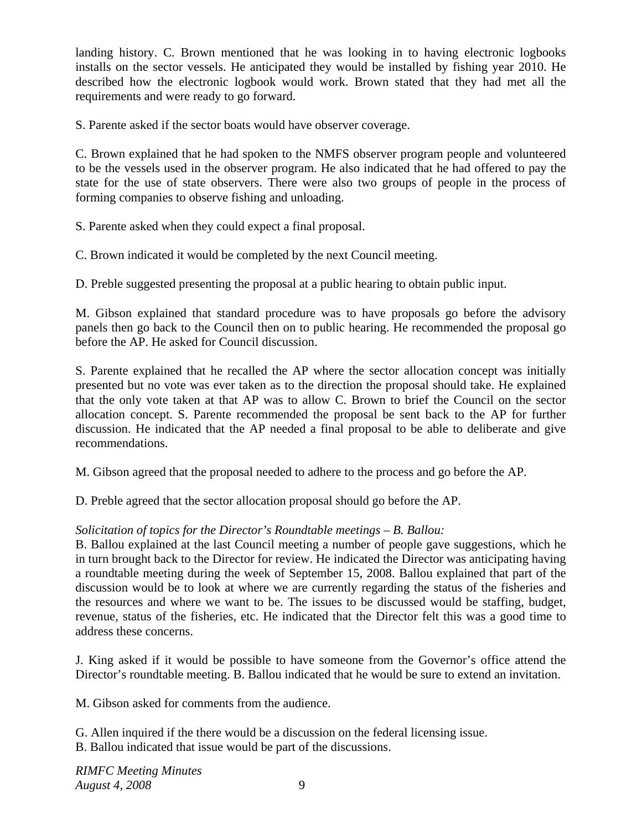landing history. C. Brown mentioned that he was looking in to having electronic logbooks installs on the sector vessels. He anticipated they would be installed by fishing year 2010. He described how the electronic logbook would work. Brown stated that they had met all the requirements and were ready to go forward.

S. Parente asked if the sector boats would have observer coverage.

C. Brown explained that he had spoken to the NMFS observer program people and volunteered to be the vessels used in the observer program. He also indicated that he had offered to pay the state for the use of state observers. There were also two groups of people in the process of forming companies to observe fishing and unloading.

S. Parente asked when they could expect a final proposal.

C. Brown indicated it would be completed by the next Council meeting.

D. Preble suggested presenting the proposal at a public hearing to obtain public input.

M. Gibson explained that standard procedure was to have proposals go before the advisory panels then go back to the Council then on to public hearing. He recommended the proposal go before the AP. He asked for Council discussion.

S. Parente explained that he recalled the AP where the sector allocation concept was initially presented but no vote was ever taken as to the direction the proposal should take. He explained that the only vote taken at that AP was to allow C. Brown to brief the Council on the sector allocation concept. S. Parente recommended the proposal be sent back to the AP for further discussion. He indicated that the AP needed a final proposal to be able to deliberate and give recommendations.

M. Gibson agreed that the proposal needed to adhere to the process and go before the AP.

D. Preble agreed that the sector allocation proposal should go before the AP.

# *Solicitation of topics for the Director's Roundtable meetings – B. Ballou:*

B. Ballou explained at the last Council meeting a number of people gave suggestions, which he in turn brought back to the Director for review. He indicated the Director was anticipating having a roundtable meeting during the week of September 15, 2008. Ballou explained that part of the discussion would be to look at where we are currently regarding the status of the fisheries and the resources and where we want to be. The issues to be discussed would be staffing, budget, revenue, status of the fisheries, etc. He indicated that the Director felt this was a good time to address these concerns.

J. King asked if it would be possible to have someone from the Governor's office attend the Director's roundtable meeting. B. Ballou indicated that he would be sure to extend an invitation.

M. Gibson asked for comments from the audience.

G. Allen inquired if the there would be a discussion on the federal licensing issue.

B. Ballou indicated that issue would be part of the discussions.